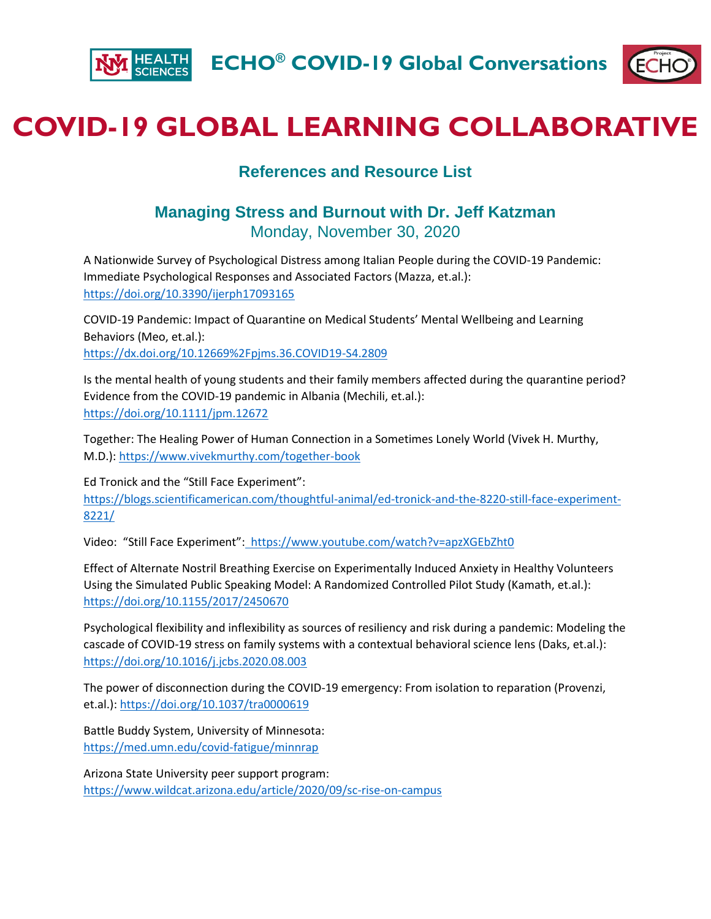



## **COVID-19 GLOBAL LEARNING COLLABORATIVE**

## **References and Resource List**

## **Managing Stress and Burnout with Dr. Jeff Katzman** Monday, November 30, 2020

A Nationwide Survey of Psychological Distress among Italian People during the COVID-19 Pandemic: Immediate Psychological Responses and Associated Factors (Mazza, et.al.): <https://doi.org/10.3390/ijerph17093165>

COVID-19 Pandemic: Impact of Quarantine on Medical Students' Mental Wellbeing and Learning Behaviors (Meo, et.al.): <https://dx.doi.org/10.12669%2Fpjms.36.COVID19-S4.2809>

Is the mental health of young students and their family members affected during the quarantine period? Evidence from the COVID‐19 pandemic in Albania (Mechili, et.al.): <https://doi.org/10.1111/jpm.12672>

Together: The Healing Power of Human Connection in a Sometimes Lonely World (Vivek H. Murthy, M.D.)[: https://www.vivekmurthy.com/together-book](https://www.vivekmurthy.com/together-book)

Ed Tronick and the "Still Face Experiment": [https://blogs.scientificamerican.com/thoughtful-animal/ed-tronick-and-the-8220-still-face-experiment-](https://blogs.scientificamerican.com/thoughtful-animal/ed-tronick-and-the-8220-still-face-experiment-8221/)[8221/](https://blogs.scientificamerican.com/thoughtful-animal/ed-tronick-and-the-8220-still-face-experiment-8221/)

Video: "Still Face Experiment": https://www.youtube.com/watch?v=apzXGEbZht0

Effect of Alternate Nostril Breathing Exercise on Experimentally Induced Anxiety in Healthy Volunteers Using the Simulated Public Speaking Model: A Randomized Controlled Pilot Study (Kamath, et.al.): <https://doi.org/10.1155/2017/2450670>

Psychological flexibility and inflexibility as sources of resiliency and risk during a pandemic: Modeling the cascade of COVID-19 stress on family systems with a contextual behavioral science lens (Daks, et.al.): <https://doi.org/10.1016/j.jcbs.2020.08.003>

The power of disconnection during the COVID-19 emergency: From isolation to reparation (Provenzi, et.al.):<https://doi.org/10.1037/tra0000619>

Battle Buddy System, University of Minnesota: <https://med.umn.edu/covid-fatigue/minnrap>

Arizona State University peer support program: <https://www.wildcat.arizona.edu/article/2020/09/sc-rise-on-campus>